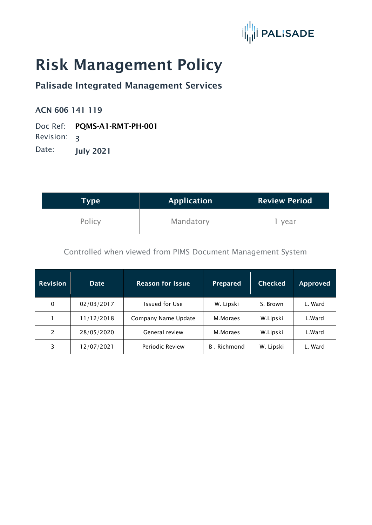

## Risk Management Policy

Palisade Integrated Management Services

ACN 606 141 119

Doc Ref: PQMS-A1-RMT-PH-001

Revision: 3

Date: **July 2021** 

| Type   | <b>Application</b> | <b>Review Period</b> |  |
|--------|--------------------|----------------------|--|
| Policy | Mandatory          | year                 |  |

Controlled when viewed from PIMS Document Management System

| <b>Revision</b> | <b>Date</b> | <b>Reason for Issue</b> | <b>Prepared</b>     | <b>Checked</b> | <b>Approved</b> |
|-----------------|-------------|-------------------------|---------------------|----------------|-----------------|
| 0               | 02/03/2017  | <b>Issued for Use</b>   | W. Lipski           | S. Brown       | L. Ward         |
|                 | 11/12/2018  | Company Name Update     | M.Moraes            | W.Lipski       | L.Ward          |
| 2               | 28/05/2020  | General review          | M.Moraes            | W.Lipski       | L.Ward          |
| 3               | 12/07/2021  | Periodic Review         | <b>B</b> . Richmond | W. Lipski      | L. Ward         |